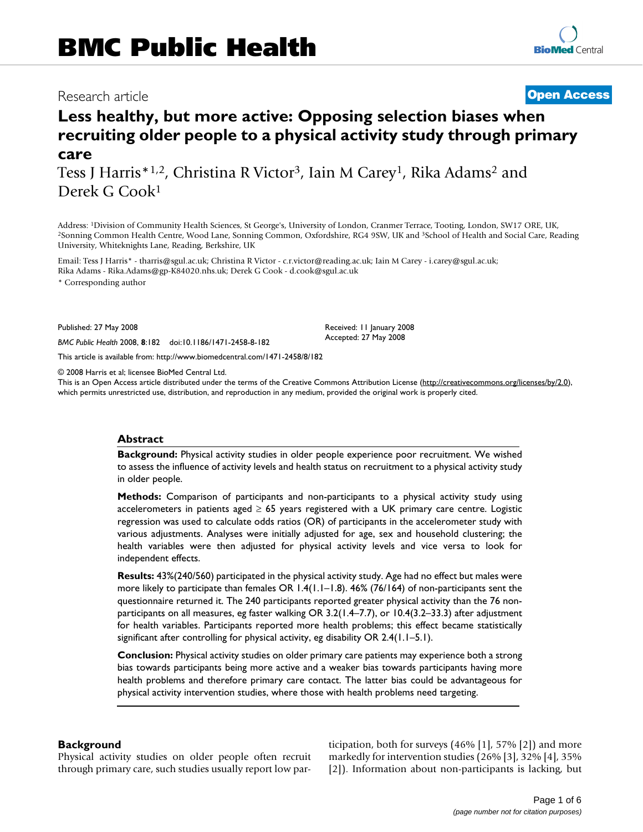## Research article **[Open Access](http://www.biomedcentral.com/info/about/charter/)**

# **Less healthy, but more active: Opposing selection biases when recruiting older people to a physical activity study through primary care**

Tess J Harris<sup>\*1,2</sup>, Christina R Victor<sup>3</sup>, Iain M Carey<sup>1</sup>, Rika Adams<sup>2</sup> and Derek G Cook1

Address: <sup>1</sup>Division of Community Health Sciences, St George's, University of London, Cranmer Terrace, Tooting, London, SW17 ORE, UK, <sup>2</sup>Sonning Common Health Centre, Wood Lane, Sonning Common, Oxfordshire, RG4 9SW, UK and University, Whiteknights Lane, Reading, Berkshire, UK

Email: Tess J Harris\* - tharris@sgul.ac.uk; Christina R Victor - c.r.victor@reading.ac.uk; Iain M Carey - i.carey@sgul.ac.uk; Rika Adams - Rika.Adams@gp-K84020.nhs.uk; Derek G Cook - d.cook@sgul.ac.uk

\* Corresponding author

Published: 27 May 2008

*BMC Public Health* 2008, **8**:182 doi:10.1186/1471-2458-8-182

[This article is available from: http://www.biomedcentral.com/1471-2458/8/182](http://www.biomedcentral.com/1471-2458/8/182)

© 2008 Harris et al; licensee BioMed Central Ltd.

This is an Open Access article distributed under the terms of the Creative Commons Attribution License [\(http://creativecommons.org/licenses/by/2.0\)](http://creativecommons.org/licenses/by/2.0), which permits unrestricted use, distribution, and reproduction in any medium, provided the original work is properly cited.

Received: 11 January 2008 Accepted: 27 May 2008

#### **Abstract**

**Background:** Physical activity studies in older people experience poor recruitment. We wished to assess the influence of activity levels and health status on recruitment to a physical activity study in older people.

**Methods:** Comparison of participants and non-participants to a physical activity study using accelerometers in patients aged  $\geq 65$  years registered with a UK primary care centre. Logistic regression was used to calculate odds ratios (OR) of participants in the accelerometer study with various adjustments. Analyses were initially adjusted for age, sex and household clustering; the health variables were then adjusted for physical activity levels and vice versa to look for independent effects.

**Results:** 43%(240/560) participated in the physical activity study. Age had no effect but males were more likely to participate than females OR 1.4(1.1–1.8). 46% (76/164) of non-participants sent the questionnaire returned it. The 240 participants reported greater physical activity than the 76 nonparticipants on all measures, eg faster walking OR 3.2(1.4–7.7), or 10.4(3.2–33.3) after adjustment for health variables. Participants reported more health problems; this effect became statistically significant after controlling for physical activity, eg disability OR 2.4(1.1–5.1).

**Conclusion:** Physical activity studies on older primary care patients may experience both a strong bias towards participants being more active and a weaker bias towards participants having more health problems and therefore primary care contact. The latter bias could be advantageous for physical activity intervention studies, where those with health problems need targeting.

#### **Background**

Physical activity studies on older people often recruit through primary care, such studies usually report low participation, both for surveys (46% [1], 57% [2]) and more markedly for intervention studies (26% [3], 32% [4], 35% [2]). Information about non-participants is lacking, but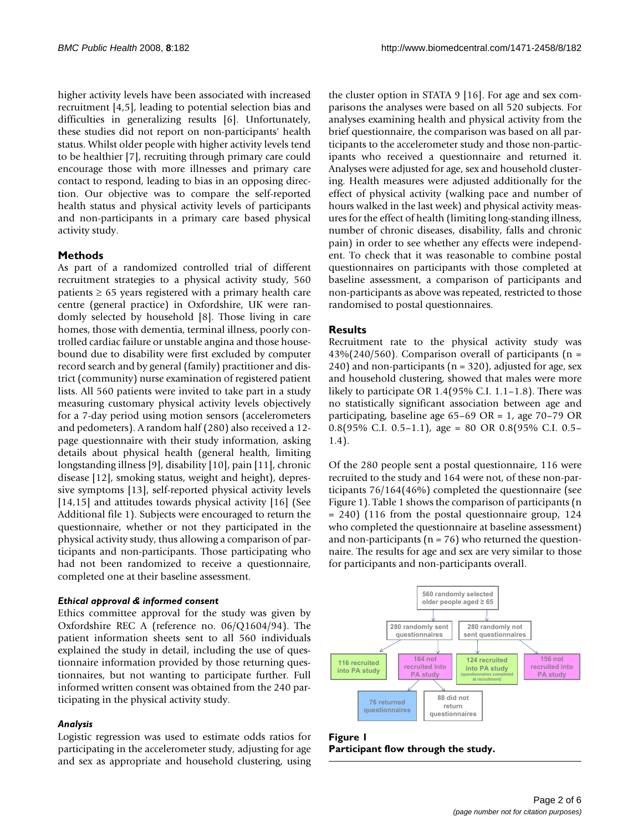higher activity levels have been associated with increased recruitment [4,5], leading to potential selection bias and difficulties in generalizing results [6]. Unfortunately, these studies did not report on non-participants' health status. Whilst older people with higher activity levels tend to be healthier [7], recruiting through primary care could encourage those with more illnesses and primary care contact to respond, leading to bias in an opposing direction. Our objective was to compare the self-reported health status and physical activity levels of participants and non-participants in a primary care based physical activity study.

#### **Methods**

As part of a randomized controlled trial of different recruitment strategies to a physical activity study, 560 patients  $\geq 65$  years registered with a primary health care centre (general practice) in Oxfordshire, UK were randomly selected by household [8]. Those living in care homes, those with dementia, terminal illness, poorly controlled cardiac failure or unstable angina and those housebound due to disability were first excluded by computer record search and by general (family) practitioner and district (community) nurse examination of registered patient lists. All 560 patients were invited to take part in a study measuring customary physical activity levels objectively for a 7-day period using motion sensors (accelerometers and pedometers). A random half (280) also received a 12 page questionnaire with their study information, asking details about physical health (general health, limiting longstanding illness [9], disability [10], pain [11], chronic disease [12], smoking status, weight and height), depressive symptoms [13], self-reported physical activity levels [14,15] and attitudes towards physical activity [16] (See Additional file 1). Subjects were encouraged to return the questionnaire, whether or not they participated in the physical activity study, thus allowing a comparison of participants and non-participants. Those participating who had not been randomized to receive a questionnaire, completed one at their baseline assessment.

#### *Ethical approval & informed consent*

Ethics committee approval for the study was given by Oxfordshire REC A (reference no. 06/Q1604/94). The patient information sheets sent to all 560 individuals explained the study in detail, including the use of questionnaire information provided by those returning questionnaires, but not wanting to participate further. Full informed written consent was obtained from the 240 participating in the physical activity study.

#### *Analysis*

Logistic regression was used to estimate odds ratios for participating in the accelerometer study, adjusting for age and sex as appropriate and household clustering, using

the cluster option in STATA 9 [16]. For age and sex comparisons the analyses were based on all 520 subjects. For analyses examining health and physical activity from the brief questionnaire, the comparison was based on all participants to the accelerometer study and those non-participants who received a questionnaire and returned it. Analyses were adjusted for age, sex and household clustering. Health measures were adjusted additionally for the effect of physical activity (walking pace and number of hours walked in the last week) and physical activity measures for the effect of health (limiting long-standing illness, number of chronic diseases, disability, falls and chronic pain) in order to see whether any effects were independent. To check that it was reasonable to combine postal questionnaires on participants with those completed at baseline assessment, a comparison of participants and non-participants as above was repeated, restricted to those randomised to postal questionnaires.

#### **Results**

Recruitment rate to the physical activity study was  $43\%$ (240/560). Comparison overall of participants (n = 240) and non-participants ( $n = 320$ ), adjusted for age, sex and household clustering, showed that males were more likely to participate OR 1.4(95% C.I. 1.1–1.8). There was no statistically significant association between age and participating, baseline age 65–69 OR = 1, age 70–79 OR 0.8(95% C.I. 0.5–1.1), age = 80 OR 0.8(95% C.I. 0.5– 1.4).

Of the 280 people sent a postal questionnaire, 116 were recruited to the study and 164 were not, of these non-participants 76/164(46%) completed the questionnaire (see Figure 1). Table 1 shows the comparison of participants (n = 240) (116 from the postal questionnaire group, 124 who completed the questionnaire at baseline assessment) and non-participants ( $n = 76$ ) who returned the questionnaire. The results for age and sex are very similar to those for participants and non-participants overall.



**Figure 1 Participant flow through the study.**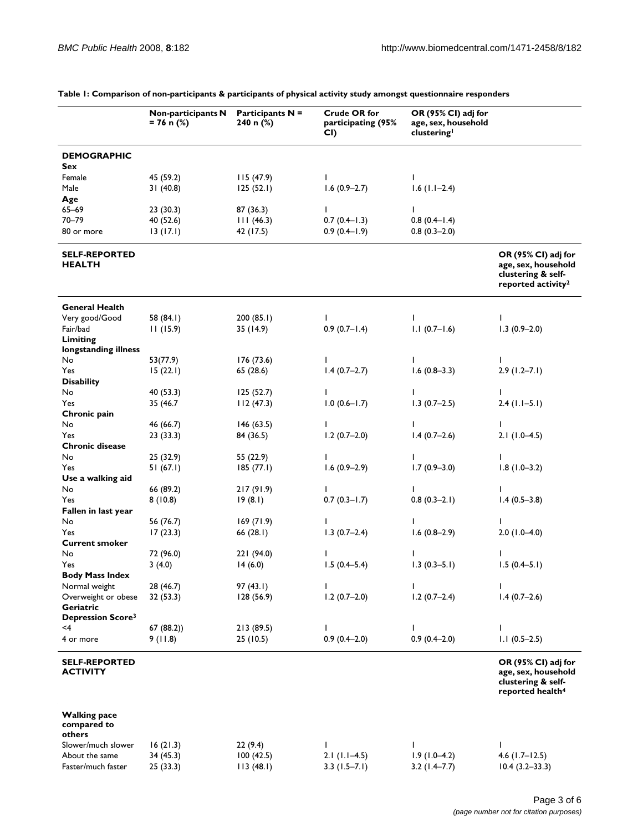|                                                              | Non-participants N<br>$= 76$ n (%) | <b>Participants N =</b><br>240 n (%) | <b>Crude OR for</b><br>participating (95%<br>CI) | OR (95% CI) adj for<br>age, sex, household<br>clustering |                                                                                                    |
|--------------------------------------------------------------|------------------------------------|--------------------------------------|--------------------------------------------------|----------------------------------------------------------|----------------------------------------------------------------------------------------------------|
| <b>DEMOGRAPHIC</b>                                           |                                    |                                      |                                                  |                                                          |                                                                                                    |
| Sex                                                          |                                    |                                      |                                                  |                                                          |                                                                                                    |
| Female                                                       | 45 (59.2)                          | 115(47.9)                            | $\mathbf{I}$                                     | I.                                                       |                                                                                                    |
| Male                                                         | 31(40.8)                           | 125(52.1)                            | $1.6(0.9-2.7)$                                   | $1.6$ ( $1.1-2.4$ )                                      |                                                                                                    |
| Age                                                          |                                    |                                      |                                                  |                                                          |                                                                                                    |
| $65 - 69$                                                    | 23(30.3)                           | 87 (36.3)                            | I.                                               | I.                                                       |                                                                                                    |
| $70 - 79$                                                    | 40 (52.6)                          | 111(46.3)                            | $0.7(0.4-1.3)$                                   | $0.8(0.4-1.4)$                                           |                                                                                                    |
| 80 or more                                                   | 13(17.1)                           | 42 (17.5)                            | $0.9(0.4-1.9)$                                   | $0.8(0.3-2.0)$                                           |                                                                                                    |
| <b>SELF-REPORTED</b><br><b>HEALTH</b>                        |                                    |                                      |                                                  |                                                          | OR (95% CI) adj for<br>age, sex, household<br>clustering & self-<br>reported activity <sup>2</sup> |
| <b>General Health</b>                                        |                                    |                                      |                                                  |                                                          |                                                                                                    |
| Very good/Good                                               | 58 (84.1)                          | 200 (85.1)                           | I.                                               | L                                                        | $\mathbf{I}$                                                                                       |
| Fair/bad                                                     | 11(15.9)                           | 35 (14.9)                            | $0.9(0.7 - 1.4)$                                 | $1.1(0.7-1.6)$                                           | $1.3(0.9-2.0)$                                                                                     |
| Limiting<br>longstanding illness                             |                                    |                                      |                                                  |                                                          |                                                                                                    |
| No                                                           | 53(77.9)                           | 176 (73.6)                           | L                                                | I.                                                       | L                                                                                                  |
| Yes                                                          | 15(22.1)                           | 65 (28.6)                            | $1.4(0.7-2.7)$                                   | $1.6(0.8-3.3)$                                           | $2.9(1.2 - 7.1)$                                                                                   |
| <b>Disability</b>                                            |                                    |                                      |                                                  |                                                          |                                                                                                    |
| No                                                           | 40 (53.3)                          | 125(52.7)                            | L                                                | I.                                                       | I.                                                                                                 |
| Yes                                                          | 35 (46.7                           | 112(47.3)                            | $1.0(0.6 - 1.7)$                                 | $1.3(0.7-2.5)$                                           | $2.4$ (1.1-5.1)                                                                                    |
| Chronic pain                                                 |                                    |                                      |                                                  |                                                          |                                                                                                    |
| No                                                           | 46 (66.7)                          | 146(63.5)                            | $\mathbf{I}$                                     | L                                                        | L                                                                                                  |
| Yes                                                          | 23 (33.3)                          | 84 (36.5)                            | $1.2(0.7-2.0)$                                   | $1.4(0.7-2.6)$                                           | $2.1(1.0-4.5)$                                                                                     |
| <b>Chronic disease</b>                                       |                                    |                                      |                                                  |                                                          |                                                                                                    |
| No                                                           | 25 (32.9)                          | 55 (22.9)                            | I.                                               | I.                                                       |                                                                                                    |
| Yes                                                          | 51 (67.1)                          | 185(77.1)                            | $1.6(0.9-2.9)$                                   | $1.7(0.9 - 3.0)$                                         | $1.8(1.0-3.2)$                                                                                     |
| Use a walking aid                                            |                                    |                                      |                                                  |                                                          |                                                                                                    |
| No                                                           | 66 (89.2)                          | 217(91.9)                            | $\mathbf{I}$                                     | I.                                                       | I.                                                                                                 |
| Yes                                                          | 8(10.8)                            | 19(8.1)                              | $0.7(0.3 - 1.7)$                                 | $0.8(0.3-2.1)$                                           | $1.4(0.5-3.8)$                                                                                     |
| Fallen in last year                                          |                                    |                                      |                                                  |                                                          |                                                                                                    |
| No                                                           | 56 (76.7)                          | 169(71.9)                            | ı                                                | I.                                                       |                                                                                                    |
| Yes                                                          | 17(23.3)                           | 66(28.1)                             | $1.3(0.7-2.4)$                                   | $1.6(0.8-2.9)$                                           | $2.0(1.0-4.0)$                                                                                     |
| <b>Current smoker</b>                                        |                                    |                                      |                                                  |                                                          |                                                                                                    |
| No                                                           | 72 (96.0)                          | 221 (94.0)                           | L                                                | L                                                        | J.                                                                                                 |
| Yes                                                          | 3(4.0)                             | 14(6.0)                              | $1.5(0.4 - 5.4)$                                 | $1.3(0.3-5.1)$                                           | $1.5(0.4-5.1)$                                                                                     |
| <b>Body Mass Index</b>                                       |                                    |                                      |                                                  |                                                          |                                                                                                    |
| Normal weight                                                | 28 (46.7)                          | 97 (43.1)                            | L                                                | T                                                        | $\mathbf{I}$                                                                                       |
| Overweight or obese<br>Geriatric<br><b>Depression Score3</b> | 32 (53.3)                          | 128 (56.9)                           | $1.2(0.7-2.0)$                                   | $1.2(0.7-2.4)$                                           | $1.4(0.7-2.6)$                                                                                     |
| $<$ 4                                                        | 67(88.2)                           | 213 (89.5)                           | L                                                | I.                                                       | I.                                                                                                 |
| 4 or more                                                    | 9(11.8)                            | 25 (10.5)                            | $0.9(0.4-2.0)$                                   | $0.9(0.4-2.0)$                                           | $1.1(0.5-2.5)$                                                                                     |
| <b>SELF-REPORTED</b><br><b>ACTIVITY</b>                      |                                    |                                      |                                                  |                                                          | OR (95% CI) adj for<br>age, sex, household<br>clustering & self-<br>reported health <sup>4</sup>   |
| <b>Walking pace</b><br>compared to<br>others                 |                                    |                                      |                                                  |                                                          |                                                                                                    |
| Slower/much slower                                           | 16(21.3)                           | 22(9.4)                              | I                                                | I                                                        | I.                                                                                                 |
| About the same                                               | 34 (45.3)                          | 100(42.5)                            | $2.1(1.1-4.5)$                                   | $1.9(1.0-4.2)$                                           | $4.6$ (1.7–12.5)                                                                                   |
| Faster/much faster                                           | 25 (33.3)                          | 113(48.1)                            | $3.3$ (1.5–7.1)                                  | $3.2(1.4 - 7.7)$                                         | $10.4(3.2 - 33.3)$                                                                                 |

**Table 1: Comparison of non-participants & participants of physical activity study amongst questionnaire responders**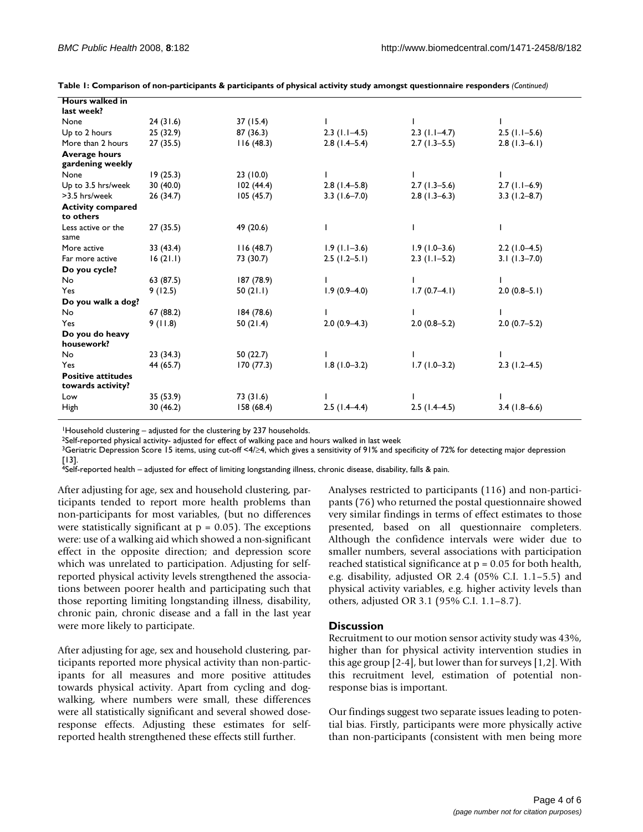| <b>Hours walked in</b>    |           |            |                 |                 |                  |
|---------------------------|-----------|------------|-----------------|-----------------|------------------|
| last week?                |           |            |                 |                 |                  |
| None                      | 24(31.6)  | 37 (15.4)  |                 |                 |                  |
| Up to 2 hours             | 25 (32.9) | 87 (36.3)  | $2.3$ (1.1–4.5) | $2.3$ (1.1–4.7) | $2.5$ (1.1-5.6)  |
| More than 2 hours         | 27(35.5)  | 116(48.3)  | $2.8(1.4-5.4)$  | $2.7(1.3-5.5)$  | $2.8(1.3-6.1)$   |
| <b>Average hours</b>      |           |            |                 |                 |                  |
| gardening weekly          |           |            |                 |                 |                  |
| None                      | 19(25.3)  | 23 (10.0)  |                 |                 |                  |
| Up to 3.5 hrs/week        | 30(40.0)  | 102(44.4)  | $2.8(1.4-5.8)$  | $2.7(1.3-5.6)$  | $2.7(1.1-6.9)$   |
| >3.5 hrs/week             | 26 (34.7) | 105(45.7)  | $3.3$ (1.6-7.0) | $2.8(1.3-6.3)$  | $3.3(1.2 - 8.7)$ |
| <b>Activity compared</b>  |           |            |                 |                 |                  |
| to others                 |           |            |                 |                 |                  |
| Less active or the        | 27(35.5)  | 49 (20.6)  |                 |                 |                  |
| same                      |           |            |                 |                 |                  |
| More active               | 33 (43.4) | 116(48.7)  | $1.9(1.1-3.6)$  | $1.9(1.0-3.6)$  | $2.2(1.0-4.5)$   |
| Far more active           | 16(21.1)  | 73 (30.7)  | $2.5(1.2-5.1)$  | $2.3$ (1.1-5.2) | $3.1(1.3 - 7.0)$ |
| Do you cycle?             |           |            |                 |                 |                  |
| No                        | 63 (87.5) | 187 (78.9) |                 |                 |                  |
| Yes                       | 9(12.5)   | 50(21.1)   | $1.9(0.9-4.0)$  | $1.7(0.7-4.1)$  | $2.0(0.8-5.1)$   |
| Do you walk a dog?        |           |            |                 |                 |                  |
| No                        | 67(88.2)  | 184 (78.6) |                 |                 |                  |
| Yes                       | 9(11.8)   | 50(21.4)   | $2.0(0.9-4.3)$  | $2.0(0.8-5.2)$  | $2.0(0.7-5.2)$   |
| Do you do heavy           |           |            |                 |                 |                  |
| housework?                |           |            |                 |                 |                  |
| No                        | 23(34.3)  | 50 (22.7)  |                 |                 |                  |
| Yes                       | 44 (65.7) | 170(77.3)  | $1.8(1.0-3.2)$  | $1.7(1.0-3.2)$  | $2.3(1.2-4.5)$   |
| <b>Positive attitudes</b> |           |            |                 |                 |                  |
| towards activity?         |           |            |                 |                 |                  |
| Low                       | 35 (53.9) | 73 (31.6)  |                 |                 |                  |
| High                      | 30(46.2)  | 158(68.4)  | $2.5(1.4-4.4)$  | $2.5(1.4-4.5)$  | $3.4(1.8-6.6)$   |

**Table 1: Comparison of non-participants & participants of physical activity study amongst questionnaire responders** *(Continued)*

<sup>1</sup>Household clustering – adjusted for the clustering by 237 households.

2Self-reported physical activity- adjusted for effect of walking pace and hours walked in last week

<sup>3</sup>Geriatric Depression Score 15 items, using cut-off <4/≥4, which gives a sensitivity of 91% and specificity of 72% for detecting major depression [13].

4Self-reported health – adjusted for effect of limiting longstanding illness, chronic disease, disability, falls & pain.

After adjusting for age, sex and household clustering, participants tended to report more health problems than non-participants for most variables, (but no differences were statistically significant at  $p = 0.05$ ). The exceptions were: use of a walking aid which showed a non-significant effect in the opposite direction; and depression score which was unrelated to participation. Adjusting for selfreported physical activity levels strengthened the associations between poorer health and participating such that those reporting limiting longstanding illness, disability, chronic pain, chronic disease and a fall in the last year were more likely to participate.

After adjusting for age, sex and household clustering, participants reported more physical activity than non-participants for all measures and more positive attitudes towards physical activity. Apart from cycling and dogwalking, where numbers were small, these differences were all statistically significant and several showed doseresponse effects. Adjusting these estimates for selfreported health strengthened these effects still further.

Analyses restricted to participants (116) and non-participants (76) who returned the postal questionnaire showed very similar findings in terms of effect estimates to those presented, based on all questionnaire completers. Although the confidence intervals were wider due to smaller numbers, several associations with participation reached statistical significance at p = 0.05 for both health, e.g. disability, adjusted OR 2.4 (05% C.I. 1.1–5.5) and physical activity variables, e.g. higher activity levels than others, adjusted OR 3.1 (95% C.I. 1.1–8.7).

#### **Discussion**

Recruitment to our motion sensor activity study was 43%, higher than for physical activity intervention studies in this age group [2-4], but lower than for surveys [1,2]. With this recruitment level, estimation of potential nonresponse bias is important.

Our findings suggest two separate issues leading to potential bias. Firstly, participants were more physically active than non-participants (consistent with men being more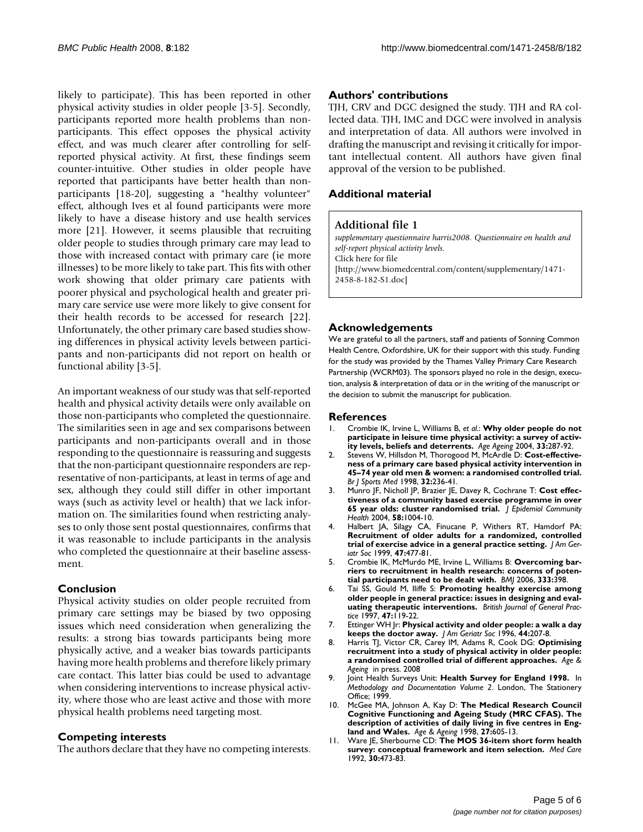likely to participate). This has been reported in other physical activity studies in older people [3-5]. Secondly, participants reported more health problems than nonparticipants. This effect opposes the physical activity effect, and was much clearer after controlling for selfreported physical activity. At first, these findings seem counter-intuitive. Other studies in older people have reported that participants have better health than nonparticipants [18-20], suggesting a "healthy volunteer" effect, although Ives et al found participants were more likely to have a disease history and use health services more [21]. However, it seems plausible that recruiting older people to studies through primary care may lead to those with increased contact with primary care (ie more illnesses) to be more likely to take part. This fits with other work showing that older primary care patients with poorer physical and psychological health and greater primary care service use were more likely to give consent for their health records to be accessed for research [22]. Unfortunately, the other primary care based studies showing differences in physical activity levels between participants and non-participants did not report on health or functional ability [3-5].

An important weakness of our study was that self-reported health and physical activity details were only available on those non-participants who completed the questionnaire. The similarities seen in age and sex comparisons between participants and non-participants overall and in those responding to the questionnaire is reassuring and suggests that the non-participant questionnaire responders are representative of non-participants, at least in terms of age and sex, although they could still differ in other important ways (such as activity level or health) that we lack information on. The similarities found when restricting analyses to only those sent postal questionnaires, confirms that it was reasonable to include participants in the analysis who completed the questionnaire at their baseline assessment.

#### **Conclusion**

Physical activity studies on older people recruited from primary care settings may be biased by two opposing issues which need consideration when generalizing the results: a strong bias towards participants being more physically active, and a weaker bias towards participants having more health problems and therefore likely primary care contact. This latter bias could be used to advantage when considering interventions to increase physical activity, where those who are least active and those with more physical health problems need targeting most.

#### **Competing interests**

The authors declare that they have no competing interests.

#### **Authors' contributions**

TJH, CRV and DGC designed the study. TJH and RA collected data. TJH, IMC and DGC were involved in analysis and interpretation of data. All authors were involved in drafting the manuscript and revising it critically for important intellectual content. All authors have given final approval of the version to be published.

### **Additional material**

#### **Additional file 1**

*supplementary questionnaire harris2008. Questionnaire on health and self-report physical activity levels.* Click here for file [\[http://www.biomedcentral.com/content/supplementary/1471-](http://www.biomedcentral.com/content/supplementary/1471-2458-8-182-S1.doc) 2458-8-182-S1.doc]

#### **Acknowledgements**

We are grateful to all the partners, staff and patients of Sonning Common Health Centre, Oxfordshire, UK for their support with this study. Funding for the study was provided by the Thames Valley Primary Care Research Partnership (WCRM03). The sponsors played no role in the design, execution, analysis & interpretation of data or in the writing of the manuscript or the decision to submit the manuscript for publication.

#### **References**

- 1. Crombie IK, Irvine L, Williams B, *et al.*: **[Why older people do not](http://www.ncbi.nlm.nih.gov/entrez/query.fcgi?cmd=Retrieve&db=PubMed&dopt=Abstract&list_uids=15082435) [participate in leisure time physical activity: a survey of activ](http://www.ncbi.nlm.nih.gov/entrez/query.fcgi?cmd=Retrieve&db=PubMed&dopt=Abstract&list_uids=15082435)[ity levels, beliefs and deterrents.](http://www.ncbi.nlm.nih.gov/entrez/query.fcgi?cmd=Retrieve&db=PubMed&dopt=Abstract&list_uids=15082435)** *Age Ageing* 2004, **33:**287-92.
- 2. Stevens W, Hillsdon M, Thorogood M, McArdle D: **[Cost-effective](http://www.ncbi.nlm.nih.gov/entrez/query.fcgi?cmd=Retrieve&db=PubMed&dopt=Abstract&list_uids=9773174)[ness of a primary care based physical activity intervention in](http://www.ncbi.nlm.nih.gov/entrez/query.fcgi?cmd=Retrieve&db=PubMed&dopt=Abstract&list_uids=9773174) 45–74 year old men & women: a randomised controlled trial.** *Br J Sports Med* 1998, **32:**236-41.
- 3. Munro JF, Nicholl JP, Brazier JE, Davey R, Cochrane T: **[Cost effec](http://www.ncbi.nlm.nih.gov/entrez/query.fcgi?cmd=Retrieve&db=PubMed&dopt=Abstract&list_uids=15547060)[tiveness of a community based exercise programme in over](http://www.ncbi.nlm.nih.gov/entrez/query.fcgi?cmd=Retrieve&db=PubMed&dopt=Abstract&list_uids=15547060) [65 year olds: cluster randomised trial.](http://www.ncbi.nlm.nih.gov/entrez/query.fcgi?cmd=Retrieve&db=PubMed&dopt=Abstract&list_uids=15547060)** *J Epidemiol Community Health* 2004, **58:**1004-10.
- 4. Halbert JA, Silagy CA, Finucane P, Withers RT, Hamdorf PA: **[Recruitment of older adults for a randomized, controlled](http://www.ncbi.nlm.nih.gov/entrez/query.fcgi?cmd=Retrieve&db=PubMed&dopt=Abstract&list_uids=10203125) [trial of exercise advice in a general practice setting.](http://www.ncbi.nlm.nih.gov/entrez/query.fcgi?cmd=Retrieve&db=PubMed&dopt=Abstract&list_uids=10203125)** *J Am Geriatr Soc* 1999, **47:**477-81.
- 5. Crombie IK, McMurdo ME, Irvine L, Williams B: **[Overcoming bar](http://www.ncbi.nlm.nih.gov/entrez/query.fcgi?cmd=Retrieve&db=PubMed&dopt=Abstract&list_uids=16916841)[riers to recruitment in health research: concerns of poten](http://www.ncbi.nlm.nih.gov/entrez/query.fcgi?cmd=Retrieve&db=PubMed&dopt=Abstract&list_uids=16916841)[tial participants need to be dealt with.](http://www.ncbi.nlm.nih.gov/entrez/query.fcgi?cmd=Retrieve&db=PubMed&dopt=Abstract&list_uids=16916841)** *BMJ* 2006, **333:**398.
- 6. Tai SS, Gould M, Iliffe S: **[Promoting healthy exercise among](http://www.ncbi.nlm.nih.gov/entrez/query.fcgi?cmd=Retrieve&db=PubMed&dopt=Abstract&list_uids=9101673) [older people in general practice: issues in designing and eval](http://www.ncbi.nlm.nih.gov/entrez/query.fcgi?cmd=Retrieve&db=PubMed&dopt=Abstract&list_uids=9101673)[uating therapeutic interventions.](http://www.ncbi.nlm.nih.gov/entrez/query.fcgi?cmd=Retrieve&db=PubMed&dopt=Abstract&list_uids=9101673)** *British Journal of General Practice* 1997, **47:**119-22.
- 7. Ettinger WH Jr: **[Physical activity and older people: a walk a day](http://www.ncbi.nlm.nih.gov/entrez/query.fcgi?cmd=Retrieve&db=PubMed&dopt=Abstract&list_uids=8576515) [keeps the doctor away.](http://www.ncbi.nlm.nih.gov/entrez/query.fcgi?cmd=Retrieve&db=PubMed&dopt=Abstract&list_uids=8576515)** *J Am Geriatr Soc* 1996, **44:**207-8.
- 8. Harris TJ, Victor CR, Carey IM, Adams R, Cook DG: **Optimising recruitment into a study of physical activity in older people: a randomised controlled trial of different approaches.** *Age & Ageing* in press. 2008
- 9. Joint Health Surveys Unit: **Health Survey for England 1998.** In *Methodology and Documentation Volume 2*. London, The Stationery **Office**; 1999.
- 10. McGee MA, Johnson A, Kay D: **[The Medical Research Council](http://www.ncbi.nlm.nih.gov/entrez/query.fcgi?cmd=Retrieve&db=PubMed&dopt=Abstract&list_uids=12683341) [Cognitive Functioning and Ageing Study \(MRC CFAS\). The](http://www.ncbi.nlm.nih.gov/entrez/query.fcgi?cmd=Retrieve&db=PubMed&dopt=Abstract&list_uids=12683341) description of activities of daily living in five centres in Eng[land and Wales.](http://www.ncbi.nlm.nih.gov/entrez/query.fcgi?cmd=Retrieve&db=PubMed&dopt=Abstract&list_uids=12683341)** *Age & Ageing* 1998, **27:**605-13.
- 11. Ware JE, Sherbourne CD: **[The MOS 36-item short form health](http://www.ncbi.nlm.nih.gov/entrez/query.fcgi?cmd=Retrieve&db=PubMed&dopt=Abstract&list_uids=1593914) [survey: conceptual framework and item selection.](http://www.ncbi.nlm.nih.gov/entrez/query.fcgi?cmd=Retrieve&db=PubMed&dopt=Abstract&list_uids=1593914)** *Med Care* 1992, **30:**473-83.